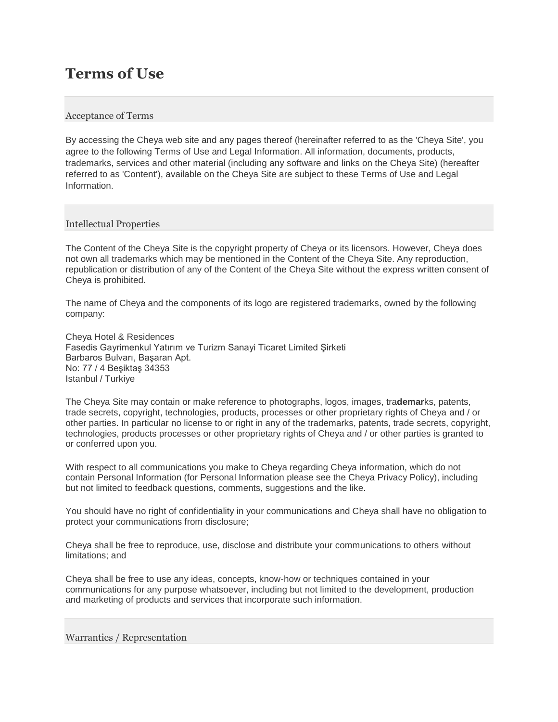# **Terms of Use**

## Acceptance of Terms

By accessing the Cheya web site and any pages thereof (hereinafter referred to as the 'Cheya Site', you agree to the following Terms of Use and Legal Information. All information, documents, products, trademarks, services and other material (including any software and links on the Cheya Site) (hereafter referred to as 'Content'), available on the Cheya Site are subject to these Terms of Use and Legal Information.

## Intellectual Properties

The Content of the Cheya Site is the copyright property of Cheya or its licensors. However, Cheya does not own all trademarks which may be mentioned in the Content of the Cheya Site. Any reproduction, republication or distribution of any of the Content of the Cheya Site without the express written consent of Cheya is prohibited.

The name of Cheya and the components of its logo are registered trademarks, owned by the following company:

Cheya Hotel & Residences Fasedis Gayrimenkul Yatırım ve Turizm Sanayi Ticaret Limited Şirketi Barbaros Bulvarı, Başaran Apt. No: 77 / 4 Beşiktaş 34353 Istanbul / Turkiye

The Cheya Site may contain or make reference to photographs, logos, images, tra**demar**ks, patents, trade secrets, copyright, technologies, products, processes or other proprietary rights of Cheya and / or other parties. In particular no license to or right in any of the trademarks, patents, trade secrets, copyright, technologies, products processes or other proprietary rights of Cheya and / or other parties is granted to or conferred upon you.

With respect to all communications you make to Cheya regarding Cheya information, which do not contain Personal Information (for Personal Information please see the Cheya Privacy Policy), including but not limited to feedback questions, comments, suggestions and the like.

You should have no right of confidentiality in your communications and Cheya shall have no obligation to protect your communications from disclosure;

Cheya shall be free to reproduce, use, disclose and distribute your communications to others without limitations; and

Cheya shall be free to use any ideas, concepts, know-how or techniques contained in your communications for any purpose whatsoever, including but not limited to the development, production and marketing of products and services that incorporate such information.

#### Warranties / Representation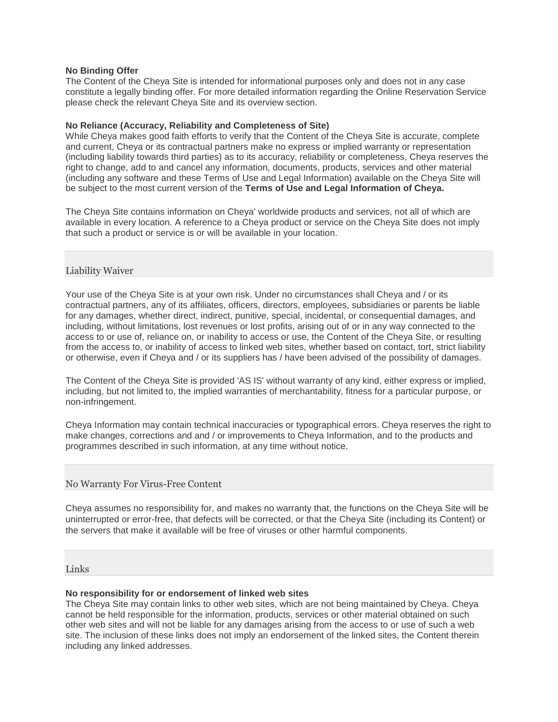## **No Binding Offer**

The Content of the Cheya Site is intended for informational purposes only and does not in any case constitute a legally binding offer. For more detailed information regarding the Online Reservation Service please check the relevant Cheya Site and its overview section.

## **No Reliance (Accuracy, Reliability and Completeness of Site)**

While Cheya makes good faith efforts to verify that the Content of the Cheya Site is accurate, complete and current, Cheya or its contractual partners make no express or implied warranty or representation (including liability towards third parties) as to its accuracy, reliability or completeness, Cheya reserves the right to change, add to and cancel any information, documents, products, services and other material (including any software and these Terms of Use and Legal Information) available on the Cheya Site will be subject to the most current version of the **Terms of Use and Legal Information of Cheya.**

The Cheya Site contains information on Cheya' worldwide products and services, not all of which are available in every location. A reference to a Cheya product or service on the Cheya Site does not imply that such a product or service is or will be available in your location.

## Liability Waiver

Your use of the Cheya Site is at your own risk. Under no circumstances shall Cheya and / or its contractual partners, any of its affiliates, officers, directors, employees, subsidiaries or parents be liable for any damages, whether direct, indirect, punitive, special, incidental, or consequential damages, and including, without limitations, lost revenues or lost profits, arising out of or in any way connected to the access to or use of, reliance on, or inability to access or use, the Content of the Cheya Site, or resulting from the access to, or inability of access to linked web sites, whether based on contact, tort, strict liability or otherwise, even if Cheya and / or its suppliers has / have been advised of the possibility of damages.

The Content of the Cheya Site is provided 'AS IS' without warranty of any kind, either express or implied, including, but not limited to, the implied warranties of merchantability, fitness for a particular purpose, or non-infringement.

Cheya Information may contain technical inaccuracies or typographical errors. Cheya reserves the right to make changes, corrections and and / or improvements to Cheya Information, and to the products and programmes described in such information, at any time without notice.

## No Warranty For Virus-Free Content

Cheya assumes no responsibility for, and makes no warranty that, the functions on the Cheya Site will be uninterrupted or error-free, that defects will be corrected, or that the Cheya Site (including its Content) or the servers that make it available will be free of viruses or other harmful components.

## Links

## **No responsibility for or endorsement of linked web sites**

The Cheya Site may contain links to other web sites, which are not being maintained by Cheya. Cheya cannot be held responsible for the information, products, services or other material obtained on such other web sites and will not be liable for any damages arising from the access to or use of such a web site. The inclusion of these links does not imply an endorsement of the linked sites, the Content therein including any linked addresses.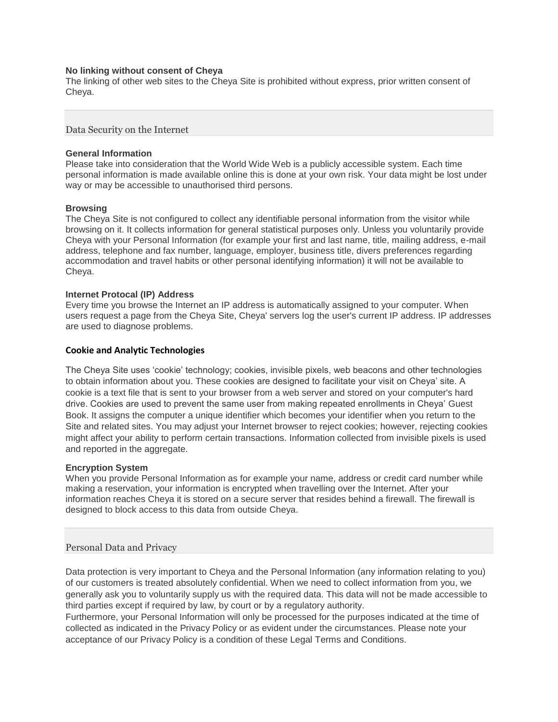### **No linking without consent of Cheya**

The linking of other web sites to the Cheya Site is prohibited without express, prior written consent of Cheya.

Data Security on the Internet

#### **General Information**

Please take into consideration that the World Wide Web is a publicly accessible system. Each time personal information is made available online this is done at your own risk. Your data might be lost under way or may be accessible to unauthorised third persons.

### **Browsing**

The Cheya Site is not configured to collect any identifiable personal information from the visitor while browsing on it. It collects information for general statistical purposes only. Unless you voluntarily provide Cheya with your Personal Information (for example your first and last name, title, mailing address, e-mail address, telephone and fax number, language, employer, business title, divers preferences regarding accommodation and travel habits or other personal identifying information) it will not be available to Cheya.

### **Internet Protocal (IP) Address**

Every time you browse the Internet an IP address is automatically assigned to your computer. When users request a page from the Cheya Site, Cheya' servers log the user's current IP address. IP addresses are used to diagnose problems.

### **Cookie and Analytic Technologies**

The Cheya Site uses 'cookie' technology; cookies, invisible pixels, web beacons and other technologies to obtain information about you. These cookies are designed to facilitate your visit on Cheya' site. A cookie is a text file that is sent to your browser from a web server and stored on your computer's hard drive. Cookies are used to prevent the same user from making repeated enrollments in Cheya' Guest Book. It assigns the computer a unique identifier which becomes your identifier when you return to the Site and related sites. You may adjust your Internet browser to reject cookies; however, rejecting cookies might affect your ability to perform certain transactions. Information collected from invisible pixels is used and reported in the aggregate.

#### **Encryption System**

When you provide Personal Information as for example your name, address or credit card number while making a reservation, your information is encrypted when travelling over the Internet. After your information reaches Cheya it is stored on a secure server that resides behind a firewall. The firewall is designed to block access to this data from outside Cheya.

#### Personal Data and Privacy

Data protection is very important to Cheya and the Personal Information (any information relating to you) of our customers is treated absolutely confidential. When we need to collect information from you, we generally ask you to voluntarily supply us with the required data. This data will not be made accessible to third parties except if required by law, by court or by a regulatory authority.

Furthermore, your Personal Information will only be processed for the purposes indicated at the time of collected as indicated in the Privacy Policy or as evident under the circumstances. Please note your acceptance of our Privacy Policy is a condition of these Legal Terms and Conditions.